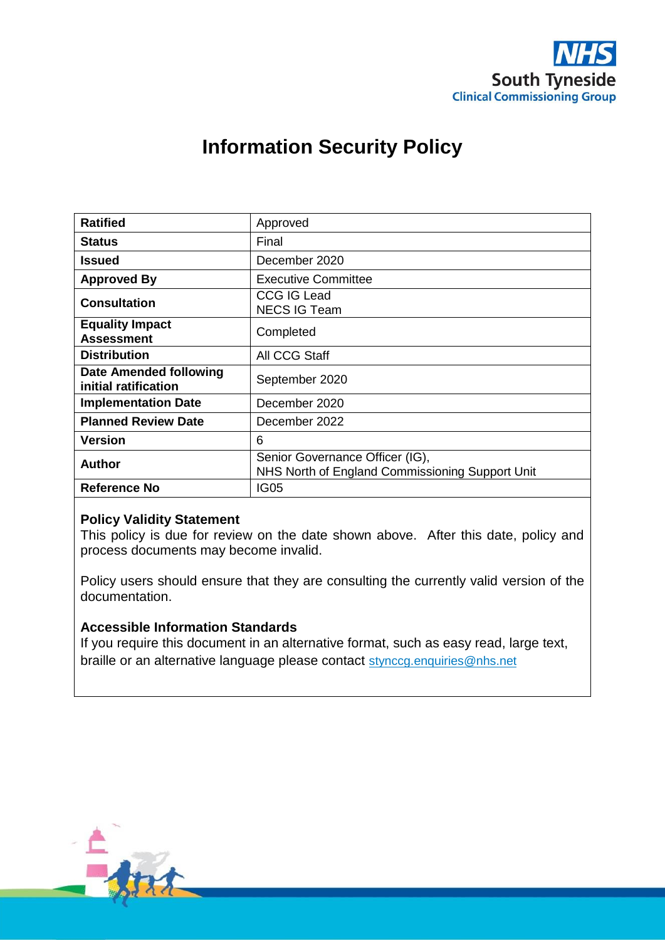

# **Information Security Policy**

| <b>Ratified</b>                                | Approved                                                                           |
|------------------------------------------------|------------------------------------------------------------------------------------|
| <b>Status</b>                                  | Final                                                                              |
| Issued                                         | December 2020                                                                      |
| <b>Approved By</b>                             | <b>Executive Committee</b>                                                         |
| <b>Consultation</b>                            | <b>CCG IG Lead</b><br><b>NECS IG Team</b>                                          |
| <b>Equality Impact</b><br><b>Assessment</b>    | Completed                                                                          |
| <b>Distribution</b>                            | All CCG Staff                                                                      |
| Date Amended following<br>initial ratification | September 2020                                                                     |
| <b>Implementation Date</b>                     | December 2020                                                                      |
| <b>Planned Review Date</b>                     | December 2022                                                                      |
| <b>Version</b>                                 | 6                                                                                  |
| Author                                         | Senior Governance Officer (IG),<br>NHS North of England Commissioning Support Unit |
| <b>Reference No</b>                            | IG05                                                                               |

## **Policy Validity Statement**

This policy is due for review on the date shown above. After this date, policy and process documents may become invalid.

Policy users should ensure that they are consulting the currently valid version of the documentation.

## **Accessible Information Standards**

If you require this document in an alternative format, such as easy read, large text, braille or an alternative language please contact [stynccg.enquiries@nhs.net](mailto:stynccg.enquiries@nhs.net)

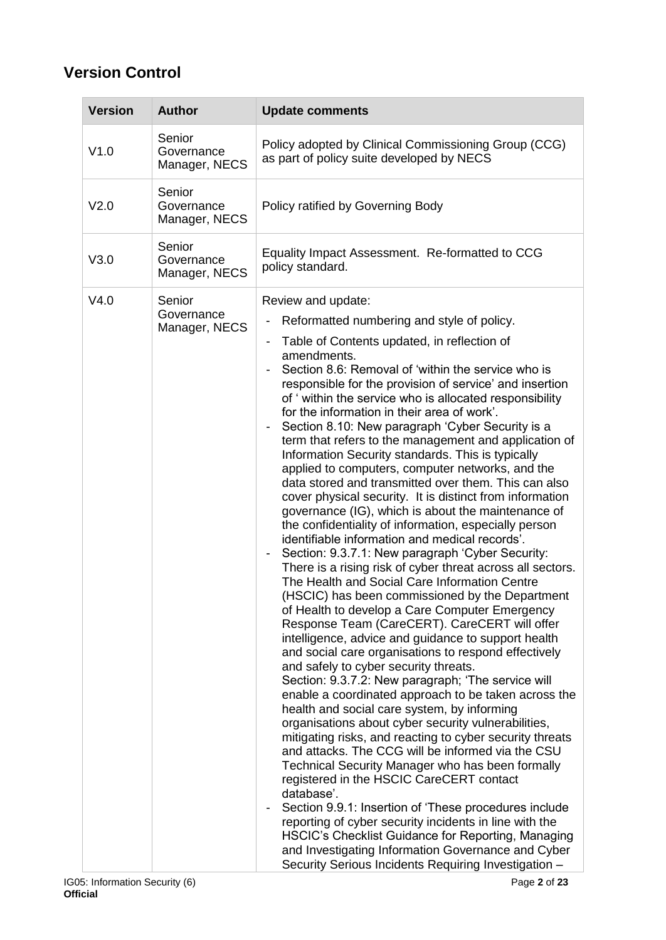# **Version Control**

| <b>Version</b>   | <b>Author</b>                         | <b>Update comments</b>                                                                                                                                                                                                                                                                                                                                                                                                                                                                                                                                                                                                                                                                                                                                                                                                                                                                                                                                                                                                                                                                                                                                                                                                                                                                                                                                                                                                                                                                                                                                                                                                                                                                                                                                                                                                                                                                                                                                                                                                                                                                                                     |
|------------------|---------------------------------------|----------------------------------------------------------------------------------------------------------------------------------------------------------------------------------------------------------------------------------------------------------------------------------------------------------------------------------------------------------------------------------------------------------------------------------------------------------------------------------------------------------------------------------------------------------------------------------------------------------------------------------------------------------------------------------------------------------------------------------------------------------------------------------------------------------------------------------------------------------------------------------------------------------------------------------------------------------------------------------------------------------------------------------------------------------------------------------------------------------------------------------------------------------------------------------------------------------------------------------------------------------------------------------------------------------------------------------------------------------------------------------------------------------------------------------------------------------------------------------------------------------------------------------------------------------------------------------------------------------------------------------------------------------------------------------------------------------------------------------------------------------------------------------------------------------------------------------------------------------------------------------------------------------------------------------------------------------------------------------------------------------------------------------------------------------------------------------------------------------------------------|
| V1.0             | Senior<br>Governance<br>Manager, NECS | Policy adopted by Clinical Commissioning Group (CCG)<br>as part of policy suite developed by NECS                                                                                                                                                                                                                                                                                                                                                                                                                                                                                                                                                                                                                                                                                                                                                                                                                                                                                                                                                                                                                                                                                                                                                                                                                                                                                                                                                                                                                                                                                                                                                                                                                                                                                                                                                                                                                                                                                                                                                                                                                          |
| V <sub>2.0</sub> | Senior<br>Governance<br>Manager, NECS | Policy ratified by Governing Body                                                                                                                                                                                                                                                                                                                                                                                                                                                                                                                                                                                                                                                                                                                                                                                                                                                                                                                                                                                                                                                                                                                                                                                                                                                                                                                                                                                                                                                                                                                                                                                                                                                                                                                                                                                                                                                                                                                                                                                                                                                                                          |
| V3.0             | Senior<br>Governance<br>Manager, NECS | Equality Impact Assessment. Re-formatted to CCG<br>policy standard.                                                                                                                                                                                                                                                                                                                                                                                                                                                                                                                                                                                                                                                                                                                                                                                                                                                                                                                                                                                                                                                                                                                                                                                                                                                                                                                                                                                                                                                                                                                                                                                                                                                                                                                                                                                                                                                                                                                                                                                                                                                        |
| V4.0             | Senior<br>Governance<br>Manager, NECS | Review and update:<br>Reformatted numbering and style of policy.<br>Table of Contents updated, in reflection of<br>$\overline{\phantom{a}}$<br>amendments.<br>Section 8.6: Removal of 'within the service who is<br>responsible for the provision of service' and insertion<br>of 'within the service who is allocated responsibility<br>for the information in their area of work'.<br>Section 8.10: New paragraph 'Cyber Security is a<br>term that refers to the management and application of<br>Information Security standards. This is typically<br>applied to computers, computer networks, and the<br>data stored and transmitted over them. This can also<br>cover physical security. It is distinct from information<br>governance (IG), which is about the maintenance of<br>the confidentiality of information, especially person<br>identifiable information and medical records'.<br>Section: 9.3.7.1: New paragraph 'Cyber Security:<br>There is a rising risk of cyber threat across all sectors.<br>The Health and Social Care Information Centre<br>(HSCIC) has been commissioned by the Department<br>of Health to develop a Care Computer Emergency<br>Response Team (CareCERT). CareCERT will offer<br>intelligence, advice and guidance to support health<br>and social care organisations to respond effectively<br>and safely to cyber security threats.<br>Section: 9.3.7.2: New paragraph; 'The service will<br>enable a coordinated approach to be taken across the<br>health and social care system, by informing<br>organisations about cyber security vulnerabilities,<br>mitigating risks, and reacting to cyber security threats<br>and attacks. The CCG will be informed via the CSU<br>Technical Security Manager who has been formally<br>registered in the HSCIC CareCERT contact<br>database'.<br>Section 9.9.1: Insertion of 'These procedures include<br>reporting of cyber security incidents in line with the<br>HSCIC's Checklist Guidance for Reporting, Managing<br>and Investigating Information Governance and Cyber<br>Security Serious Incidents Requiring Investigation - |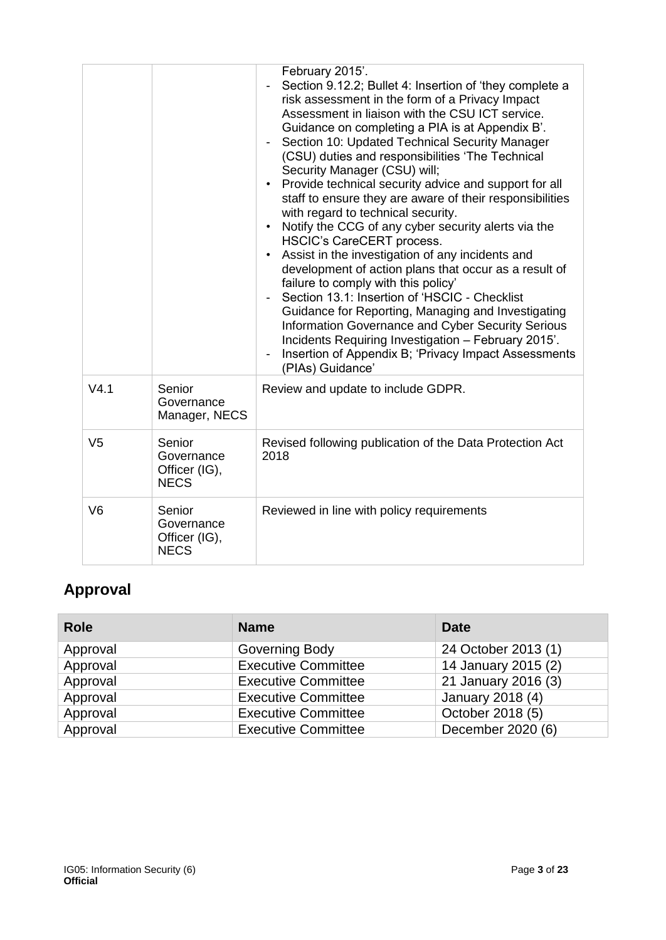|                |                                                      | February 2015'.<br>Section 9.12.2; Bullet 4: Insertion of 'they complete a<br>risk assessment in the form of a Privacy Impact<br>Assessment in liaison with the CSU ICT service.<br>Guidance on completing a PIA is at Appendix B'.<br>Section 10: Updated Technical Security Manager<br>(CSU) duties and responsibilities 'The Technical<br>Security Manager (CSU) will;<br>Provide technical security advice and support for all<br>staff to ensure they are aware of their responsibilities<br>with regard to technical security.<br>Notify the CCG of any cyber security alerts via the<br>$\bullet$<br><b>HSCIC's CareCERT process.</b><br>Assist in the investigation of any incidents and<br>development of action plans that occur as a result of<br>failure to comply with this policy'<br>Section 13.1: Insertion of 'HSCIC - Checklist<br>Guidance for Reporting, Managing and Investigating<br>Information Governance and Cyber Security Serious<br>Incidents Requiring Investigation - February 2015'.<br>Insertion of Appendix B; 'Privacy Impact Assessments<br>(PIAs) Guidance' |
|----------------|------------------------------------------------------|-------------------------------------------------------------------------------------------------------------------------------------------------------------------------------------------------------------------------------------------------------------------------------------------------------------------------------------------------------------------------------------------------------------------------------------------------------------------------------------------------------------------------------------------------------------------------------------------------------------------------------------------------------------------------------------------------------------------------------------------------------------------------------------------------------------------------------------------------------------------------------------------------------------------------------------------------------------------------------------------------------------------------------------------------------------------------------------------------|
| V4.1           | Senior<br>Governance<br>Manager, NECS                | Review and update to include GDPR.                                                                                                                                                                                                                                                                                                                                                                                                                                                                                                                                                                                                                                                                                                                                                                                                                                                                                                                                                                                                                                                              |
| V <sub>5</sub> | Senior<br>Governance<br>Officer (IG),<br><b>NECS</b> | Revised following publication of the Data Protection Act<br>2018                                                                                                                                                                                                                                                                                                                                                                                                                                                                                                                                                                                                                                                                                                                                                                                                                                                                                                                                                                                                                                |
| V <sub>6</sub> | Senior<br>Governance<br>Officer (IG),<br><b>NECS</b> | Reviewed in line with policy requirements                                                                                                                                                                                                                                                                                                                                                                                                                                                                                                                                                                                                                                                                                                                                                                                                                                                                                                                                                                                                                                                       |

# **Approval**

| <b>Role</b> | <b>Name</b>                | <b>Date</b>         |
|-------------|----------------------------|---------------------|
| Approval    | Governing Body             | 24 October 2013 (1) |
| Approval    | <b>Executive Committee</b> | 14 January 2015 (2) |
| Approval    | <b>Executive Committee</b> | 21 January 2016 (3) |
| Approval    | <b>Executive Committee</b> | January 2018 (4)    |
| Approval    | <b>Executive Committee</b> | October 2018 (5)    |
| Approval    | <b>Executive Committee</b> | December 2020 (6)   |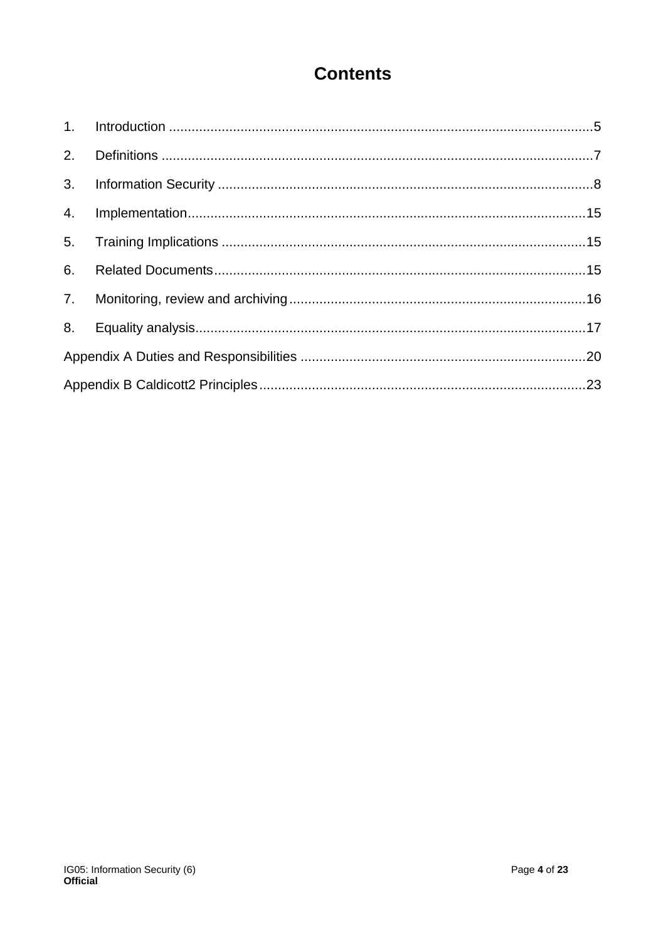# **Contents**

| 3. |  |  |  |
|----|--|--|--|
|    |  |  |  |
|    |  |  |  |
| 6. |  |  |  |
| 7. |  |  |  |
|    |  |  |  |
|    |  |  |  |
|    |  |  |  |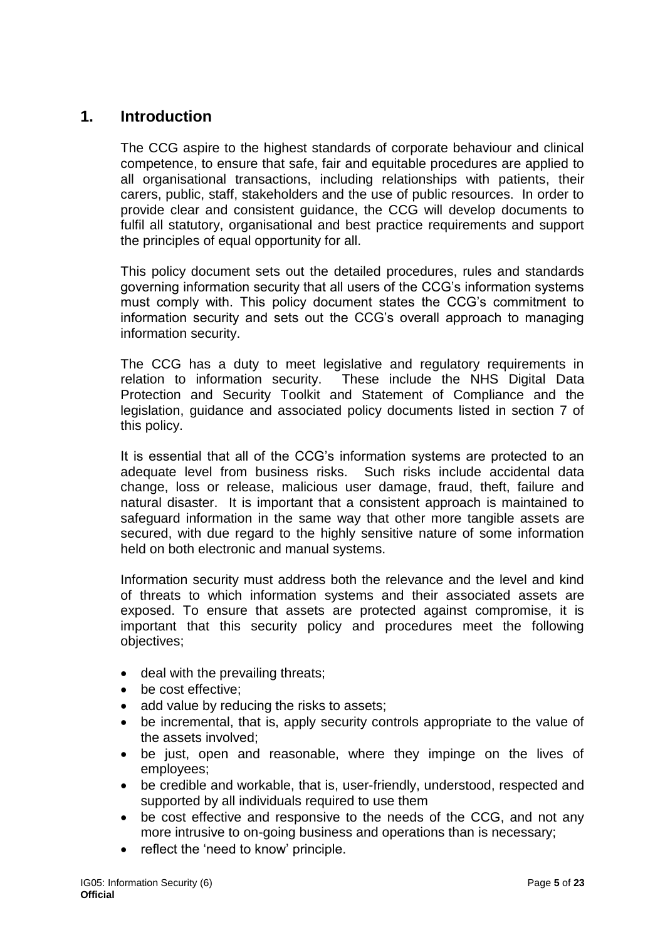# <span id="page-4-0"></span>**1. Introduction**

The CCG aspire to the highest standards of corporate behaviour and clinical competence, to ensure that safe, fair and equitable procedures are applied to all organisational transactions, including relationships with patients, their carers, public, staff, stakeholders and the use of public resources. In order to provide clear and consistent guidance, the CCG will develop documents to fulfil all statutory, organisational and best practice requirements and support the principles of equal opportunity for all.

This policy document sets out the detailed procedures, rules and standards governing information security that all users of the CCG's information systems must comply with. This policy document states the CCG's commitment to information security and sets out the CCG's overall approach to managing information security.

The CCG has a duty to meet legislative and regulatory requirements in relation to information security. These include the NHS Digital Data Protection and Security Toolkit and Statement of Compliance and the legislation, guidance and associated policy documents listed in section 7 of this policy.

It is essential that all of the CCG's information systems are protected to an adequate level from business risks. Such risks include accidental data change, loss or release, malicious user damage, fraud, theft, failure and natural disaster. It is important that a consistent approach is maintained to safeguard information in the same way that other more tangible assets are secured, with due regard to the highly sensitive nature of some information held on both electronic and manual systems.

Information security must address both the relevance and the level and kind of threats to which information systems and their associated assets are exposed. To ensure that assets are protected against compromise, it is important that this security policy and procedures meet the following objectives;

- deal with the prevailing threats;
- be cost effective;
- add value by reducing the risks to assets;
- be incremental, that is, apply security controls appropriate to the value of the assets involved;
- be just, open and reasonable, where they impinge on the lives of employees;
- be credible and workable, that is, user-friendly, understood, respected and supported by all individuals required to use them
- be cost effective and responsive to the needs of the CCG, and not any more intrusive to on-going business and operations than is necessary;
- reflect the 'need to know' principle.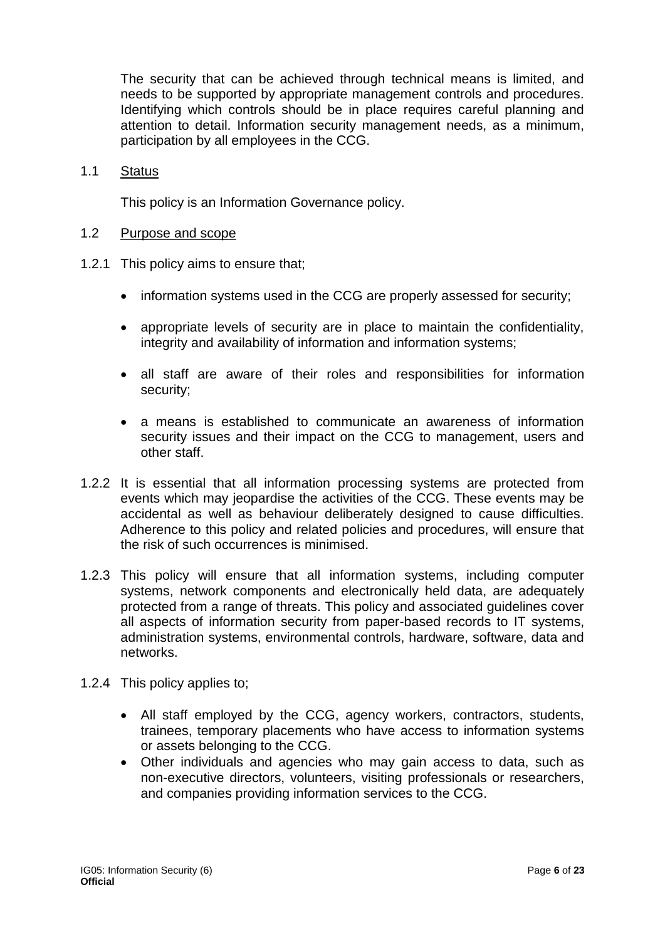The security that can be achieved through technical means is limited, and needs to be supported by appropriate management controls and procedures. Identifying which controls should be in place requires careful planning and attention to detail. Information security management needs, as a minimum, participation by all employees in the CCG.

1.1 Status

This policy is an Information Governance policy.

- 1.2 Purpose and scope
- 1.2.1 This policy aims to ensure that;
	- information systems used in the CCG are properly assessed for security;
	- appropriate levels of security are in place to maintain the confidentiality, integrity and availability of information and information systems;
	- all staff are aware of their roles and responsibilities for information security;
	- a means is established to communicate an awareness of information security issues and their impact on the CCG to management, users and other staff.
- 1.2.2 It is essential that all information processing systems are protected from events which may jeopardise the activities of the CCG. These events may be accidental as well as behaviour deliberately designed to cause difficulties. Adherence to this policy and related policies and procedures, will ensure that the risk of such occurrences is minimised.
- 1.2.3 This policy will ensure that all information systems, including computer systems, network components and electronically held data, are adequately protected from a range of threats. This policy and associated guidelines cover all aspects of information security from paper-based records to IT systems, administration systems, environmental controls, hardware, software, data and networks.
- 1.2.4 This policy applies to;
	- All staff employed by the CCG, agency workers, contractors, students, trainees, temporary placements who have access to information systems or assets belonging to the CCG.
	- Other individuals and agencies who may gain access to data, such as non-executive directors, volunteers, visiting professionals or researchers, and companies providing information services to the CCG.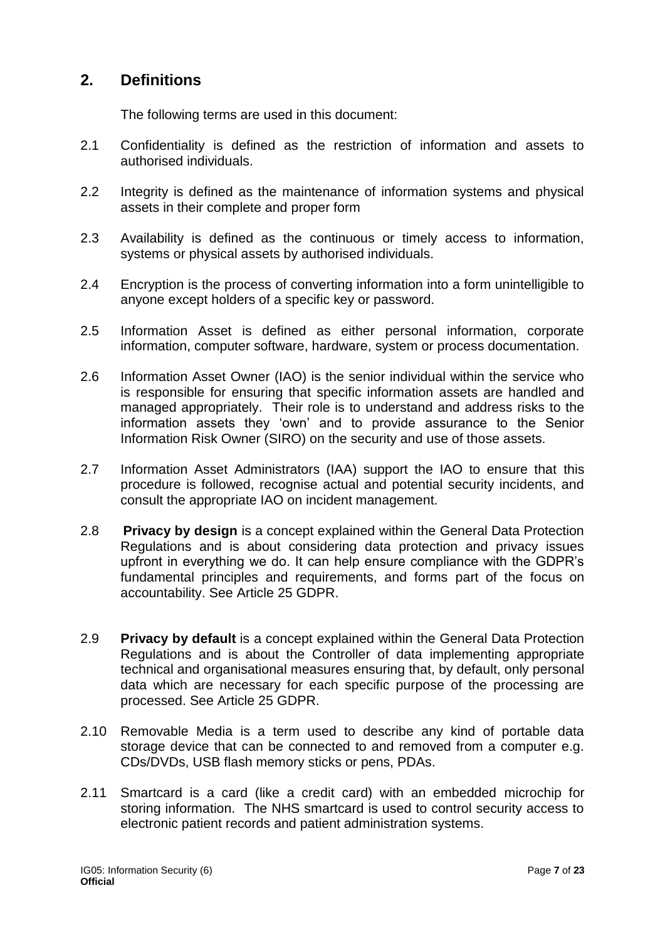# <span id="page-6-0"></span>**2. Definitions**

The following terms are used in this document:

- 2.1 Confidentiality is defined as the restriction of information and assets to authorised individuals.
- 2.2 Integrity is defined as the maintenance of information systems and physical assets in their complete and proper form
- 2.3 Availability is defined as the continuous or timely access to information, systems or physical assets by authorised individuals.
- 2.4 Encryption is the process of converting information into a form unintelligible to anyone except holders of a specific key or password.
- 2.5 Information Asset is defined as either personal information, corporate information, computer software, hardware, system or process documentation.
- 2.6 Information Asset Owner (IAO) is the senior individual within the service who is responsible for ensuring that specific information assets are handled and managed appropriately. Their role is to understand and address risks to the information assets they 'own' and to provide assurance to the Senior Information Risk Owner (SIRO) on the security and use of those assets.
- 2.7 Information Asset Administrators (IAA) support the IAO to ensure that this procedure is followed, recognise actual and potential security incidents, and consult the appropriate IAO on incident management.
- 2.8 **Privacy by design** is a concept explained within the General Data Protection Regulations and is about considering data protection and privacy issues upfront in everything we do. It can help ensure compliance with the GDPR's fundamental principles and requirements, and forms part of the focus on accountability. See Article 25 GDPR.
- 2.9 **Privacy by default** is a concept explained within the General Data Protection Regulations and is about the Controller of data implementing appropriate technical and organisational measures ensuring that, by default, only personal data which are necessary for each specific purpose of the processing are processed. See Article 25 GDPR.
- 2.10 Removable Media is a term used to describe any kind of portable data storage device that can be connected to and removed from a computer e.g. CDs/DVDs, USB flash memory sticks or pens, PDAs.
- 2.11 Smartcard is a card (like a credit card) with an embedded microchip for storing information. The NHS smartcard is used to control security access to electronic patient records and patient administration systems.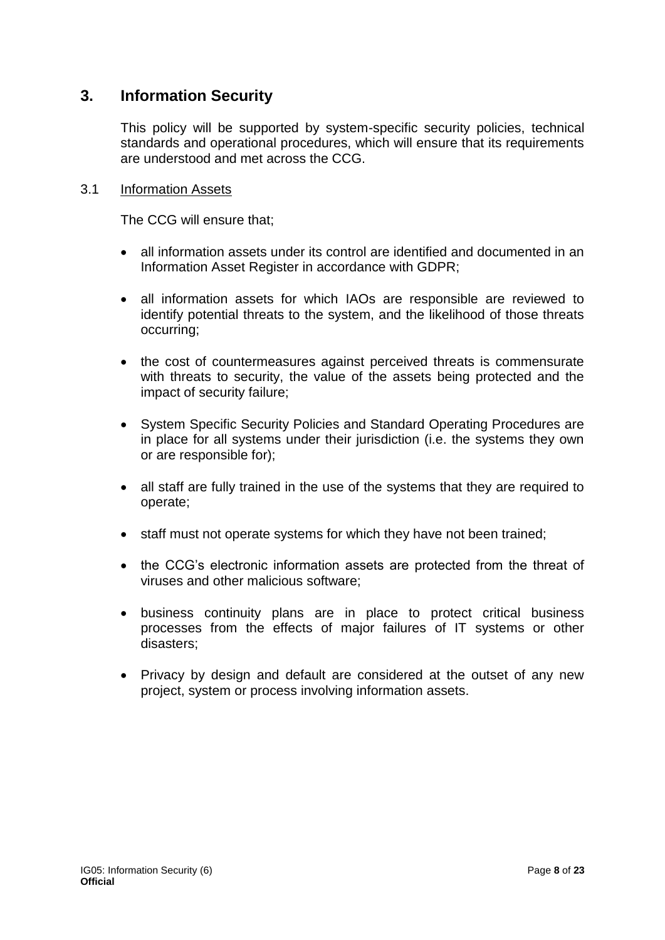# <span id="page-7-0"></span>**3. Information Security**

This policy will be supported by system-specific security policies, technical standards and operational procedures, which will ensure that its requirements are understood and met across the CCG.

#### 3.1 Information Assets

The CCG will ensure that;

- all information assets under its control are identified and documented in an Information Asset Register in accordance with GDPR;
- all information assets for which IAOs are responsible are reviewed to identify potential threats to the system, and the likelihood of those threats occurring;
- the cost of countermeasures against perceived threats is commensurate with threats to security, the value of the assets being protected and the impact of security failure;
- System Specific Security Policies and Standard Operating Procedures are in place for all systems under their jurisdiction (i.e. the systems they own or are responsible for);
- all staff are fully trained in the use of the systems that they are required to operate;
- staff must not operate systems for which they have not been trained;
- the CCG's electronic information assets are protected from the threat of viruses and other malicious software;
- business continuity plans are in place to protect critical business processes from the effects of major failures of IT systems or other disasters;
- Privacy by design and default are considered at the outset of any new project, system or process involving information assets.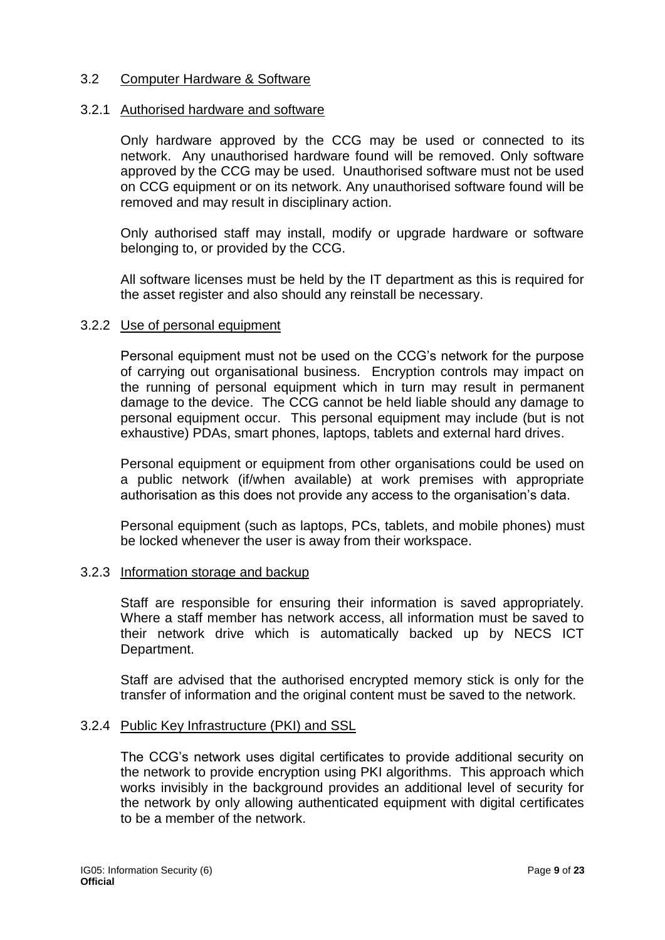#### 3.2 Computer Hardware & Software

#### 3.2.1 Authorised hardware and software

Only hardware approved by the CCG may be used or connected to its network. Any unauthorised hardware found will be removed. Only software approved by the CCG may be used. Unauthorised software must not be used on CCG equipment or on its network. Any unauthorised software found will be removed and may result in disciplinary action.

Only authorised staff may install, modify or upgrade hardware or software belonging to, or provided by the CCG.

All software licenses must be held by the IT department as this is required for the asset register and also should any reinstall be necessary.

#### 3.2.2 Use of personal equipment

Personal equipment must not be used on the CCG's network for the purpose of carrying out organisational business. Encryption controls may impact on the running of personal equipment which in turn may result in permanent damage to the device. The CCG cannot be held liable should any damage to personal equipment occur. This personal equipment may include (but is not exhaustive) PDAs, smart phones, laptops, tablets and external hard drives.

Personal equipment or equipment from other organisations could be used on a public network (if/when available) at work premises with appropriate authorisation as this does not provide any access to the organisation's data.

Personal equipment (such as laptops, PCs, tablets, and mobile phones) must be locked whenever the user is away from their workspace.

#### 3.2.3 Information storage and backup

Staff are responsible for ensuring their information is saved appropriately. Where a staff member has network access, all information must be saved to their network drive which is automatically backed up by NECS ICT Department.

Staff are advised that the authorised encrypted memory stick is only for the transfer of information and the original content must be saved to the network.

#### 3.2.4 Public Key Infrastructure (PKI) and SSL

The CCG's network uses digital certificates to provide additional security on the network to provide encryption using PKI algorithms. This approach which works invisibly in the background provides an additional level of security for the network by only allowing authenticated equipment with digital certificates to be a member of the network.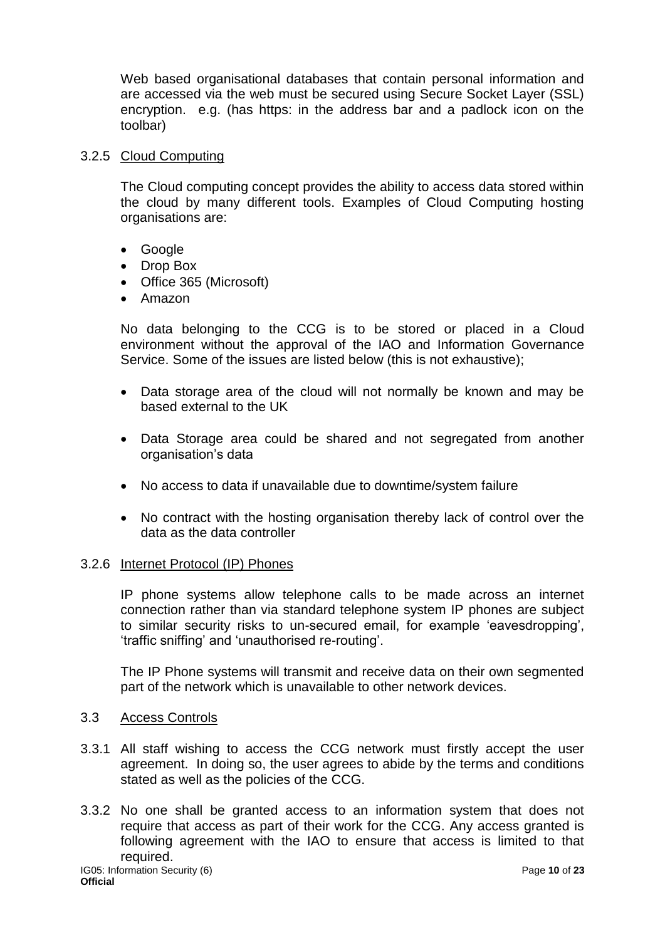Web based organisational databases that contain personal information and are accessed via the web must be secured using Secure Socket Layer (SSL) encryption. e.g. (has https: in the address bar and a padlock icon on the toolbar)

#### 3.2.5 Cloud Computing

The Cloud computing concept provides the ability to access data stored within the cloud by many different tools. Examples of Cloud Computing hosting organisations are:

- Google
- Drop Box
- Office 365 (Microsoft)
- Amazon

No data belonging to the CCG is to be stored or placed in a Cloud environment without the approval of the IAO and Information Governance Service. Some of the issues are listed below (this is not exhaustive);

- Data storage area of the cloud will not normally be known and may be based external to the UK
- Data Storage area could be shared and not segregated from another organisation's data
- No access to data if unavailable due to downtime/system failure
- No contract with the hosting organisation thereby lack of control over the data as the data controller

## 3.2.6 Internet Protocol (IP) Phones

IP phone systems allow telephone calls to be made across an internet connection rather than via standard telephone system IP phones are subject to similar security risks to un-secured email, for example 'eavesdropping', 'traffic sniffing' and 'unauthorised re-routing'.

The IP Phone systems will transmit and receive data on their own segmented part of the network which is unavailable to other network devices.

#### 3.3 Access Controls

- 3.3.1 All staff wishing to access the CCG network must firstly accept the user agreement. In doing so, the user agrees to abide by the terms and conditions stated as well as the policies of the CCG.
- 3.3.2 No one shall be granted access to an information system that does not require that access as part of their work for the CCG. Any access granted is following agreement with the IAO to ensure that access is limited to that required.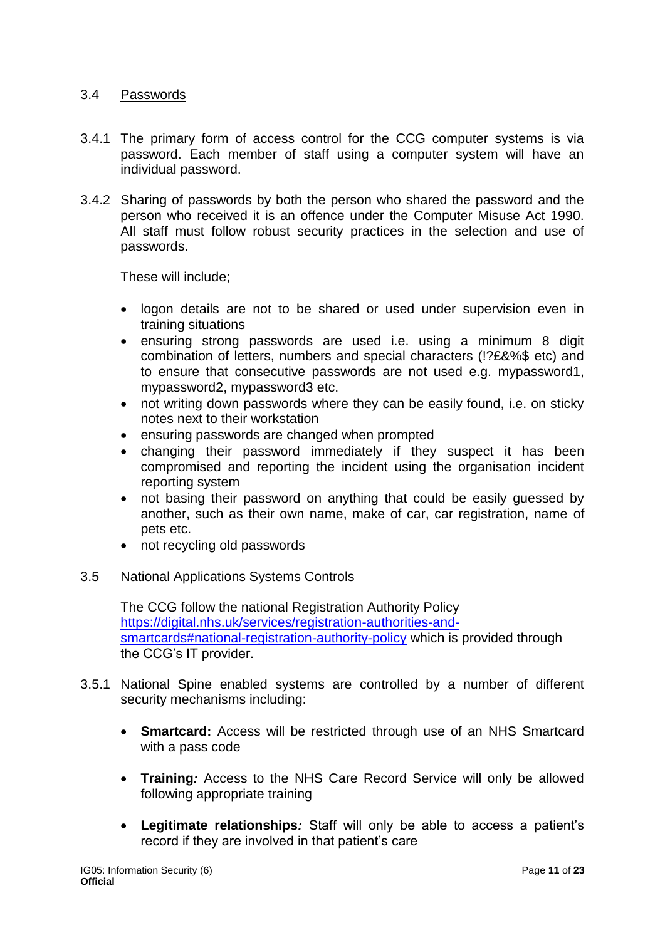## 3.4 Passwords

- 3.4.1 The primary form of access control for the CCG computer systems is via password. Each member of staff using a computer system will have an individual password.
- 3.4.2 Sharing of passwords by both the person who shared the password and the person who received it is an offence under the Computer Misuse Act 1990. All staff must follow robust security practices in the selection and use of passwords.

These will include;

- logon details are not to be shared or used under supervision even in training situations
- ensuring strong passwords are used i.e. using a minimum 8 digit combination of letters, numbers and special characters (!?£&%\$ etc) and to ensure that consecutive passwords are not used e.g. mypassword1, mypassword2, mypassword3 etc.
- not writing down passwords where they can be easily found, i.e. on sticky notes next to their workstation
- ensuring passwords are changed when prompted
- changing their password immediately if they suspect it has been compromised and reporting the incident using the organisation incident reporting system
- not basing their password on anything that could be easily guessed by another, such as their own name, make of car, car registration, name of pets etc.
- not recycling old passwords

## 3.5 National Applications Systems Controls

The CCG follow the national Registration Authority Policy [https://digital.nhs.uk/services/registration-authorities-and](https://digital.nhs.uk/services/registration-authorities-and-smartcards#national-                                 registration-authority-policy)[smartcards#national-registration-authority-policy](https://digital.nhs.uk/services/registration-authorities-and-smartcards#national-                                 registration-authority-policy) which is provided through the CCG's IT provider.

- 3.5.1 National Spine enabled systems are controlled by a number of different security mechanisms including:
	- **Smartcard:** Access will be restricted through use of an NHS Smartcard with a pass code
	- **Training***:* Access to the NHS Care Record Service will only be allowed following appropriate training
	- **Legitimate relationships***:* Staff will only be able to access a patient's record if they are involved in that patient's care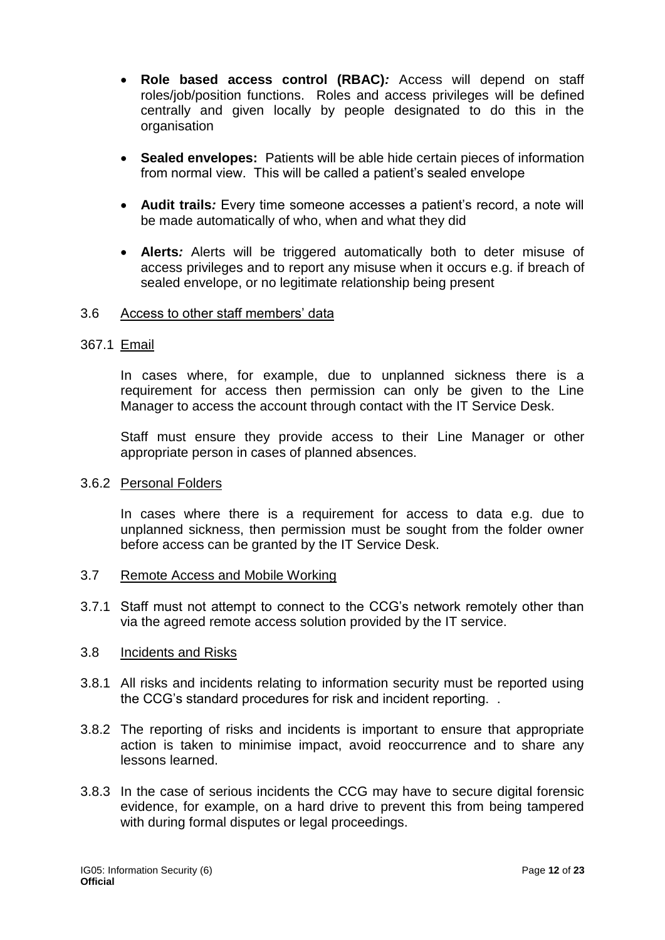- **Role based access control (RBAC)***:* Access will depend on staff roles/job/position functions. Roles and access privileges will be defined centrally and given locally by people designated to do this in the organisation
- **Sealed envelopes:** Patients will be able hide certain pieces of information from normal view. This will be called a patient's sealed envelope
- **Audit trails***:* Every time someone accesses a patient's record, a note will be made automatically of who, when and what they did
- **Alerts***:* Alerts will be triggered automatically both to deter misuse of access privileges and to report any misuse when it occurs e.g. if breach of sealed envelope, or no legitimate relationship being present

#### 3.6 Access to other staff members' data

#### 367.1 Email

In cases where, for example, due to unplanned sickness there is a requirement for access then permission can only be given to the Line Manager to access the account through contact with the IT Service Desk.

Staff must ensure they provide access to their Line Manager or other appropriate person in cases of planned absences.

#### 3.6.2 Personal Folders

In cases where there is a requirement for access to data e.g. due to unplanned sickness, then permission must be sought from the folder owner before access can be granted by the IT Service Desk.

- 3.7 Remote Access and Mobile Working
- 3.7.1 Staff must not attempt to connect to the CCG's network remotely other than via the agreed remote access solution provided by the IT service.

#### 3.8 Incidents and Risks

- 3.8.1 All risks and incidents relating to information security must be reported using the CCG's standard procedures for risk and incident reporting. .
- 3.8.2 The reporting of risks and incidents is important to ensure that appropriate action is taken to minimise impact, avoid reoccurrence and to share any lessons learned.
- 3.8.3 In the case of serious incidents the CCG may have to secure digital forensic evidence, for example, on a hard drive to prevent this from being tampered with during formal disputes or legal proceedings.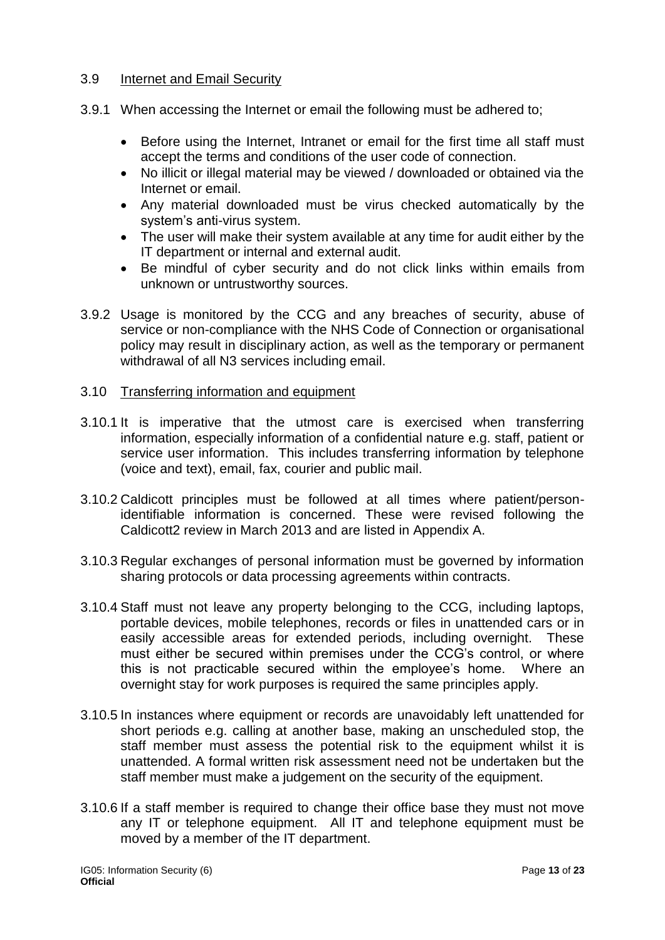#### 3.9 Internet and Email Security

- 3.9.1 When accessing the Internet or email the following must be adhered to;
	- Before using the Internet, Intranet or email for the first time all staff must accept the terms and conditions of the user code of connection.
	- No illicit or illegal material may be viewed / downloaded or obtained via the Internet or email.
	- Any material downloaded must be virus checked automatically by the system's anti-virus system.
	- The user will make their system available at any time for audit either by the IT department or internal and external audit.
	- Be mindful of cyber security and do not click links within emails from unknown or untrustworthy sources.
- 3.9.2 Usage is monitored by the CCG and any breaches of security, abuse of service or non-compliance with the NHS Code of Connection or organisational policy may result in disciplinary action, as well as the temporary or permanent withdrawal of all N3 services including email.
- 3.10 Transferring information and equipment
- 3.10.1 It is imperative that the utmost care is exercised when transferring information, especially information of a confidential nature e.g. staff, patient or service user information. This includes transferring information by telephone (voice and text), email, fax, courier and public mail.
- 3.10.2 Caldicott principles must be followed at all times where patient/personidentifiable information is concerned. These were revised following the Caldicott2 review in March 2013 and are listed in Appendix A.
- 3.10.3 Regular exchanges of personal information must be governed by information sharing protocols or data processing agreements within contracts.
- 3.10.4 Staff must not leave any property belonging to the CCG, including laptops, portable devices, mobile telephones, records or files in unattended cars or in easily accessible areas for extended periods, including overnight. These must either be secured within premises under the CCG's control, or where this is not practicable secured within the employee's home. Where an overnight stay for work purposes is required the same principles apply.
- 3.10.5 In instances where equipment or records are unavoidably left unattended for short periods e.g. calling at another base, making an unscheduled stop, the staff member must assess the potential risk to the equipment whilst it is unattended. A formal written risk assessment need not be undertaken but the staff member must make a judgement on the security of the equipment.
- 3.10.6 If a staff member is required to change their office base they must not move any IT or telephone equipment. All IT and telephone equipment must be moved by a member of the IT department.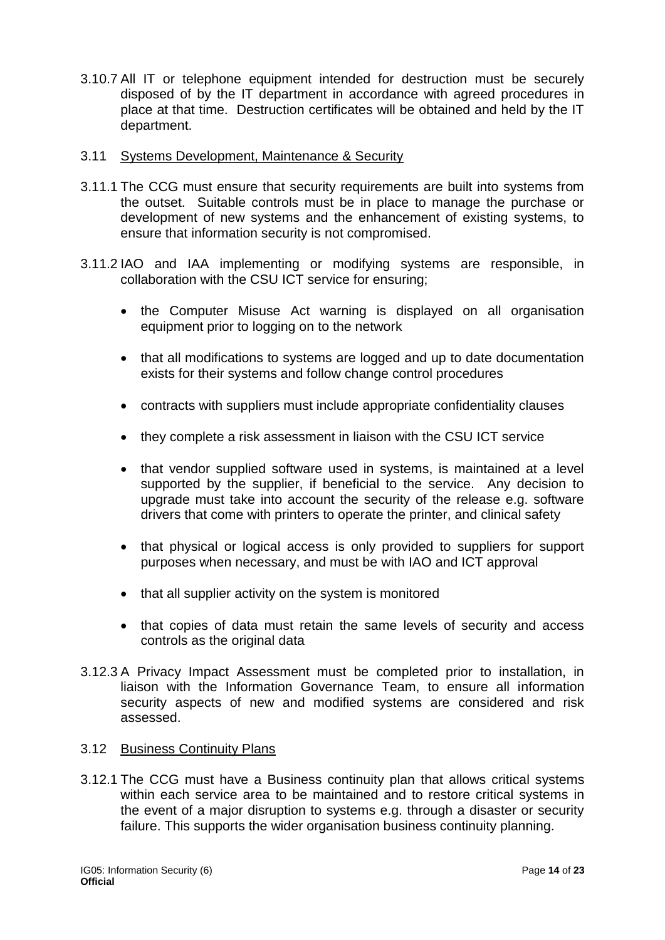- 3.10.7 All IT or telephone equipment intended for destruction must be securely disposed of by the IT department in accordance with agreed procedures in place at that time. Destruction certificates will be obtained and held by the IT department.
- 3.11 Systems Development, Maintenance & Security
- 3.11.1 The CCG must ensure that security requirements are built into systems from the outset. Suitable controls must be in place to manage the purchase or development of new systems and the enhancement of existing systems, to ensure that information security is not compromised.
- 3.11.2 IAO and IAA implementing or modifying systems are responsible, in collaboration with the CSU ICT service for ensuring;
	- the Computer Misuse Act warning is displayed on all organisation equipment prior to logging on to the network
	- that all modifications to systems are logged and up to date documentation exists for their systems and follow change control procedures
	- contracts with suppliers must include appropriate confidentiality clauses
	- they complete a risk assessment in liaison with the CSU ICT service
	- that vendor supplied software used in systems, is maintained at a level supported by the supplier, if beneficial to the service. Any decision to upgrade must take into account the security of the release e.g. software drivers that come with printers to operate the printer, and clinical safety
	- that physical or logical access is only provided to suppliers for support purposes when necessary, and must be with IAO and ICT approval
	- that all supplier activity on the system is monitored
	- that copies of data must retain the same levels of security and access controls as the original data
- 3.12.3 A Privacy Impact Assessment must be completed prior to installation, in liaison with the Information Governance Team, to ensure all information security aspects of new and modified systems are considered and risk assessed.

#### 3.12 Business Continuity Plans

3.12.1 The CCG must have a Business continuity plan that allows critical systems within each service area to be maintained and to restore critical systems in the event of a major disruption to systems e.g. through a disaster or security failure. This supports the wider organisation business continuity planning.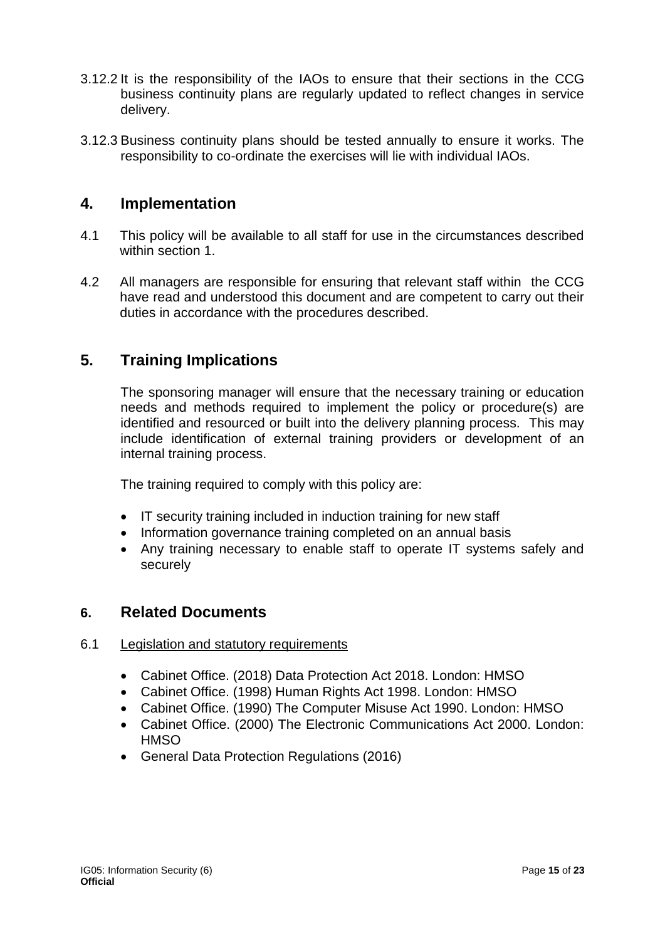- 3.12.2 It is the responsibility of the IAOs to ensure that their sections in the CCG business continuity plans are regularly updated to reflect changes in service delivery.
- 3.12.3 Business continuity plans should be tested annually to ensure it works. The responsibility to co-ordinate the exercises will lie with individual IAOs.

# <span id="page-14-0"></span>**4. Implementation**

- 4.1 This policy will be available to all staff for use in the circumstances described within section 1.
- 4.2 All managers are responsible for ensuring that relevant staff within the CCG have read and understood this document and are competent to carry out their duties in accordance with the procedures described.

# <span id="page-14-1"></span>**5. Training Implications**

The sponsoring manager will ensure that the necessary training or education needs and methods required to implement the policy or procedure(s) are identified and resourced or built into the delivery planning process. This may include identification of external training providers or development of an internal training process.

The training required to comply with this policy are:

- IT security training included in induction training for new staff
- Information governance training completed on an annual basis
- Any training necessary to enable staff to operate IT systems safely and securely

# <span id="page-14-2"></span>**6. Related Documents**

## 6.1 Legislation and statutory requirements

- Cabinet Office. (2018) Data Protection Act 2018. London: HMSO
- Cabinet Office. (1998) Human Rights Act 1998. London: HMSO
- Cabinet Office. (1990) The Computer Misuse Act 1990. London: HMSO
- Cabinet Office. (2000) The Electronic Communications Act 2000. London: **HMSO**
- General Data Protection Regulations (2016)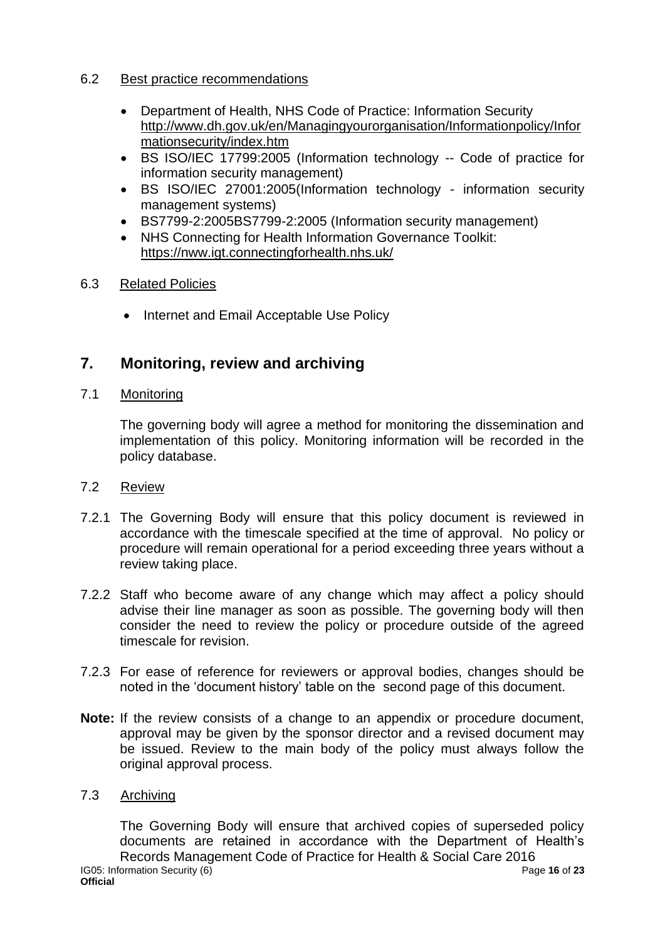## 6.2 Best practice recommendations

- Department of Health, NHS Code of Practice: Information Security [http://www.dh.gov.uk/en/Managingyourorganisation/Informationpolicy/Infor](http://www.dh.gov.uk/en/Managingyourorganisation/Informationpolicy/Informationsecurity/index.htm) [mationsecurity/index.htm](http://www.dh.gov.uk/en/Managingyourorganisation/Informationpolicy/Informationsecurity/index.htm)
- BS ISO/IEC 17799:2005 (Information technology -- Code of practice for information security management)
- BS ISO/IEC 27001:2005(Information technology information security management systems)
- BS7799-2:2005BS7799-2:2005 (Information security management)
- NHS Connecting for Health Information Governance Toolkit: <https://nww.igt.connectingforhealth.nhs.uk/>

# 6.3 Related Policies

• Internet and Email Acceptable Use Policy

# <span id="page-15-0"></span>**7. Monitoring, review and archiving**

# 7.1 Monitoring

The governing body will agree a method for monitoring the dissemination and implementation of this policy. Monitoring information will be recorded in the policy database.

## 7.2 Review

- 7.2.1 The Governing Body will ensure that this policy document is reviewed in accordance with the timescale specified at the time of approval. No policy or procedure will remain operational for a period exceeding three years without a review taking place.
- 7.2.2 Staff who become aware of any change which may affect a policy should advise their line manager as soon as possible. The governing body will then consider the need to review the policy or procedure outside of the agreed timescale for revision.
- 7.2.3 For ease of reference for reviewers or approval bodies, changes should be noted in the 'document history' table on the second page of this document.
- **Note:** If the review consists of a change to an appendix or procedure document, approval may be given by the sponsor director and a revised document may be issued. Review to the main body of the policy must always follow the original approval process.

## 7.3 Archiving

The Governing Body will ensure that archived copies of superseded policy documents are retained in accordance with the Department of Health's Records Management Code of Practice for Health & Social Care 2016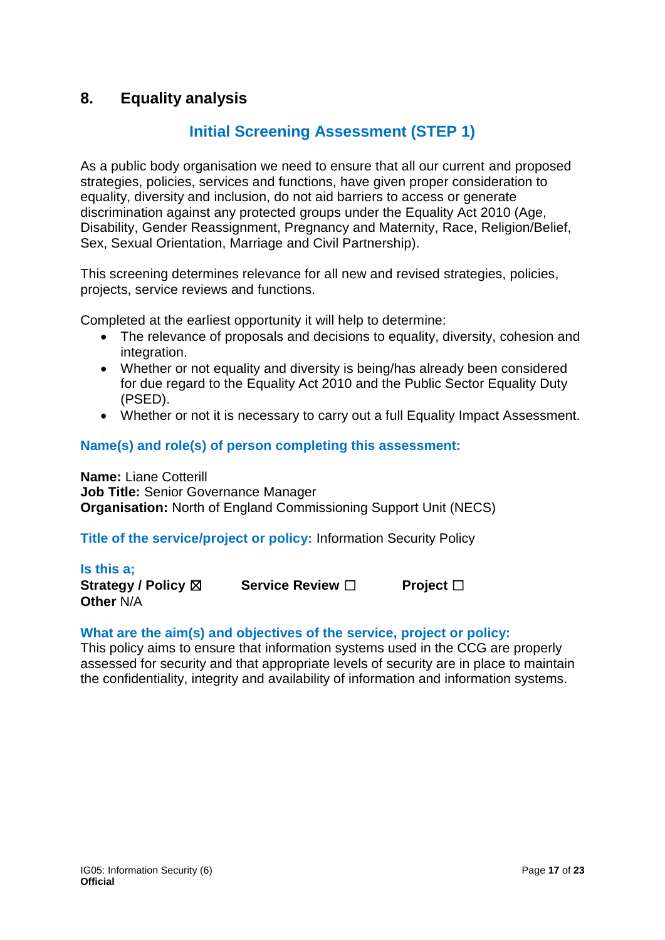# <span id="page-16-0"></span>**8. Equality analysis**

# **Initial Screening Assessment (STEP 1)**

As a public body organisation we need to ensure that all our current and proposed strategies, policies, services and functions, have given proper consideration to equality, diversity and inclusion, do not aid barriers to access or generate discrimination against any protected groups under the Equality Act 2010 (Age, Disability, Gender Reassignment, Pregnancy and Maternity, Race, Religion/Belief, Sex, Sexual Orientation, Marriage and Civil Partnership).

This screening determines relevance for all new and revised strategies, policies, projects, service reviews and functions.

Completed at the earliest opportunity it will help to determine:

- The relevance of proposals and decisions to equality, diversity, cohesion and integration.
- Whether or not equality and diversity is being/has already been considered for due regard to the Equality Act 2010 and the Public Sector Equality Duty (PSED).
- Whether or not it is necessary to carry out a full Equality Impact Assessment.

# **Name(s) and role(s) of person completing this assessment:**

**Name:** Liane Cotterill **Job Title:** Senior Governance Manager **Organisation:** North of England Commissioning Support Unit (NECS)

## **Title of the service/project or policy:** Information Security Policy

#### **Is this a;**

**Strategy / Policy** ☒ **Service Review** ☐ **Project** ☐ **Other** N/A

## **What are the aim(s) and objectives of the service, project or policy:**

This policy aims to ensure that information systems used in the CCG are properly assessed for security and that appropriate levels of security are in place to maintain the confidentiality, integrity and availability of information and information systems.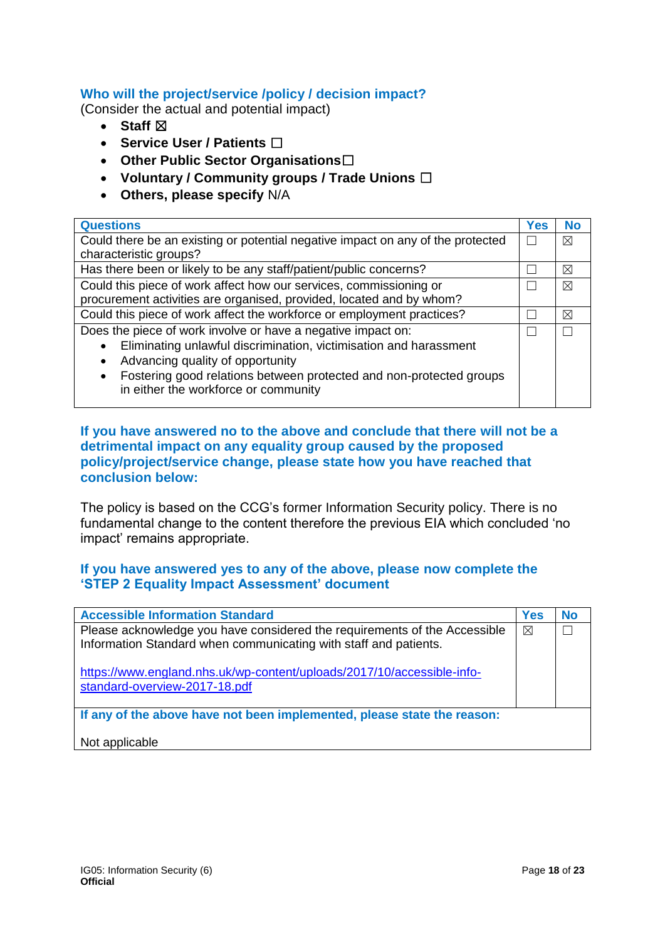## **Who will the project/service /policy / decision impact?**

(Consider the actual and potential impact)

- Staff  $⊠$
- **Service User / Patients** ☐
- **Other Public Sector Organisations**☐
- **Voluntary / Community groups / Trade Unions** ☐
- **Others, please specify** N/A

| <b>Questions</b>                                                                | Yes | <b>No</b> |
|---------------------------------------------------------------------------------|-----|-----------|
| Could there be an existing or potential negative impact on any of the protected |     | ⊠         |
| characteristic groups?                                                          |     |           |
| Has there been or likely to be any staff/patient/public concerns?               |     | ⊠         |
| Could this piece of work affect how our services, commissioning or              |     | ⊠         |
| procurement activities are organised, provided, located and by whom?            |     |           |
| Could this piece of work affect the workforce or employment practices?          |     | ⊠         |
| Does the piece of work involve or have a negative impact on:                    |     |           |
| Eliminating unlawful discrimination, victimisation and harassment               |     |           |
| Advancing quality of opportunity                                                |     |           |
| Fostering good relations between protected and non-protected groups             |     |           |
| in either the workforce or community                                            |     |           |
|                                                                                 |     |           |

#### **If you have answered no to the above and conclude that there will not be a detrimental impact on any equality group caused by the proposed policy/project/service change, please state how you have reached that conclusion below:**

The policy is based on the CCG's former Information Security policy. There is no fundamental change to the content therefore the previous EIA which concluded 'no impact' remains appropriate.

## **If you have answered yes to any of the above, please now complete the 'STEP 2 Equality Impact Assessment' document**

| <b>Accessible Information Standard</b>                                                                                                        | <b>Yes</b> | <b>No</b> |
|-----------------------------------------------------------------------------------------------------------------------------------------------|------------|-----------|
| Please acknowledge you have considered the requirements of the Accessible<br>Information Standard when communicating with staff and patients. | ⊠          |           |
| https://www.england.nhs.uk/wp-content/uploads/2017/10/accessible-info-<br>standard-overview-2017-18.pdf                                       |            |           |
| If any of the above have not been implemented, please state the reason:                                                                       |            |           |
| Not applicable                                                                                                                                |            |           |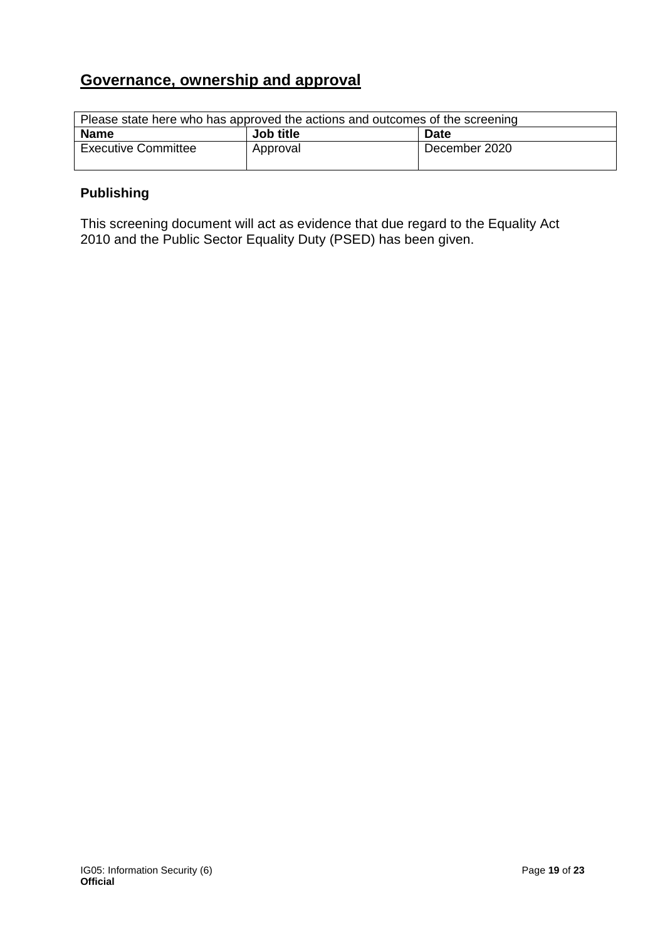# **Governance, ownership and approval**

| Please state here who has approved the actions and outcomes of the screening |                  |               |
|------------------------------------------------------------------------------|------------------|---------------|
| <b>Name</b>                                                                  | <b>Job title</b> | <b>Date</b>   |
| <b>Executive Committee</b>                                                   | Approval         | December 2020 |

# **Publishing**

This screening document will act as evidence that due regard to the Equality Act 2010 and the Public Sector Equality Duty (PSED) has been given.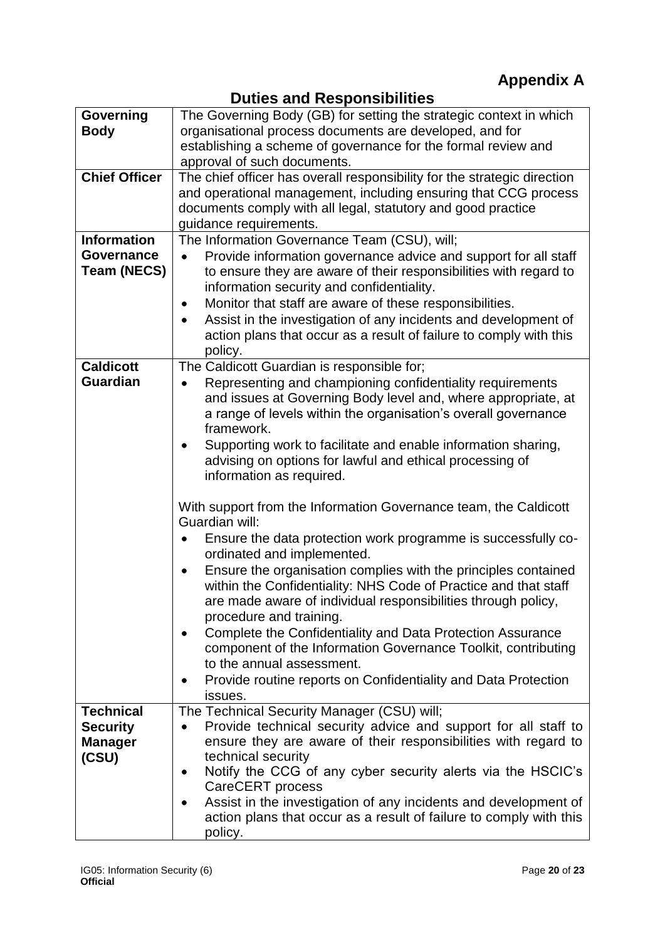**Duties and Responsibilities**

<span id="page-19-1"></span><span id="page-19-0"></span>

|                      | Patico ana nooponoipiinioo                                                   |
|----------------------|------------------------------------------------------------------------------|
| Governing            | The Governing Body (GB) for setting the strategic context in which           |
| <b>Body</b>          | organisational process documents are developed, and for                      |
|                      | establishing a scheme of governance for the formal review and                |
|                      | approval of such documents.                                                  |
| <b>Chief Officer</b> |                                                                              |
|                      | The chief officer has overall responsibility for the strategic direction     |
|                      | and operational management, including ensuring that CCG process              |
|                      | documents comply with all legal, statutory and good practice                 |
|                      | guidance requirements.                                                       |
| <b>Information</b>   | The Information Governance Team (CSU), will;                                 |
| <b>Governance</b>    | Provide information governance advice and support for all staff              |
| <b>Team (NECS)</b>   | to ensure they are aware of their responsibilities with regard to            |
|                      | information security and confidentiality.                                    |
|                      |                                                                              |
|                      | Monitor that staff are aware of these responsibilities.<br>٠                 |
|                      | Assist in the investigation of any incidents and development of<br>$\bullet$ |
|                      | action plans that occur as a result of failure to comply with this           |
|                      | policy.                                                                      |
| <b>Caldicott</b>     | The Caldicott Guardian is responsible for;                                   |
| <b>Guardian</b>      | Representing and championing confidentiality requirements                    |
|                      | and issues at Governing Body level and, where appropriate, at                |
|                      |                                                                              |
|                      | a range of levels within the organisation's overall governance               |
|                      | framework.                                                                   |
|                      | Supporting work to facilitate and enable information sharing,                |
|                      | advising on options for lawful and ethical processing of                     |
|                      | information as required.                                                     |
|                      |                                                                              |
|                      | With support from the Information Governance team, the Caldicott             |
|                      | Guardian will:                                                               |
|                      |                                                                              |
|                      | Ensure the data protection work programme is successfully co-                |
|                      | ordinated and implemented.                                                   |
|                      | Ensure the organisation complies with the principles contained               |
|                      | within the Confidentiality: NHS Code of Practice and that staff              |
|                      | are made aware of individual responsibilities through policy,                |
|                      | procedure and training.                                                      |
|                      |                                                                              |
|                      | Complete the Confidentiality and Data Protection Assurance                   |
|                      | component of the Information Governance Toolkit, contributing                |
|                      | to the annual assessment.                                                    |
|                      | Provide routine reports on Confidentiality and Data Protection               |
|                      | issues.                                                                      |
| <b>Technical</b>     | The Technical Security Manager (CSU) will;                                   |
| <b>Security</b>      | Provide technical security advice and support for all staff to               |
| <b>Manager</b>       | ensure they are aware of their responsibilities with regard to               |
|                      | technical security                                                           |
| (CSU)                |                                                                              |
|                      | Notify the CCG of any cyber security alerts via the HSCIC's                  |
|                      | CareCERT process                                                             |
|                      | Assist in the investigation of any incidents and development of              |
|                      | action plans that occur as a result of failure to comply with this           |
|                      | policy.                                                                      |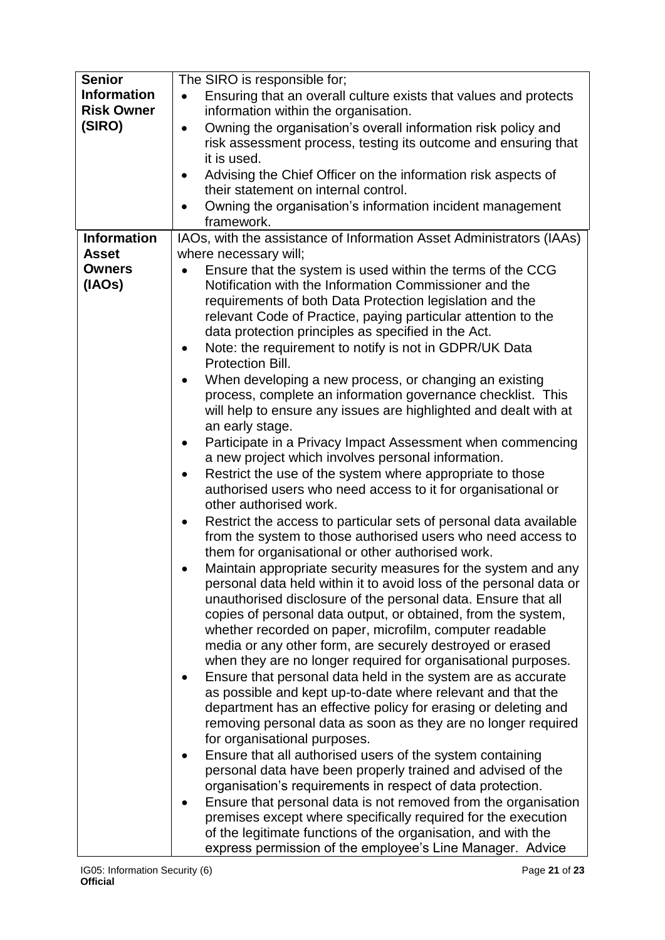| <b>Senior</b>      | The SIRO is responsible for;                                                  |
|--------------------|-------------------------------------------------------------------------------|
| <b>Information</b> | Ensuring that an overall culture exists that values and protects<br>$\bullet$ |
| <b>Risk Owner</b>  | information within the organisation.                                          |
| (SIRO)             | Owning the organisation's overall information risk policy and<br>$\bullet$    |
|                    | risk assessment process, testing its outcome and ensuring that                |
|                    | it is used.                                                                   |
|                    | Advising the Chief Officer on the information risk aspects of<br>٠            |
|                    | their statement on internal control.                                          |
|                    | Owning the organisation's information incident management                     |
|                    | framework.                                                                    |
| <b>Information</b> | IAOs, with the assistance of Information Asset Administrators (IAAs)          |
| <b>Asset</b>       | where necessary will;                                                         |
| <b>Owners</b>      | Ensure that the system is used within the terms of the CCG                    |
| (IAOs)             | Notification with the Information Commissioner and the                        |
|                    | requirements of both Data Protection legislation and the                      |
|                    | relevant Code of Practice, paying particular attention to the                 |
|                    | data protection principles as specified in the Act.                           |
|                    | Note: the requirement to notify is not in GDPR/UK Data<br>$\bullet$           |
|                    | Protection Bill.                                                              |
|                    | When developing a new process, or changing an existing                        |
|                    | process, complete an information governance checklist. This                   |
|                    | will help to ensure any issues are highlighted and dealt with at              |
|                    | an early stage.                                                               |
|                    | Participate in a Privacy Impact Assessment when commencing<br>$\bullet$       |
|                    | a new project which involves personal information.                            |
|                    | Restrict the use of the system where appropriate to those                     |
|                    | authorised users who need access to it for organisational or                  |
|                    | other authorised work.                                                        |
|                    | Restrict the access to particular sets of personal data available             |
|                    | from the system to those authorised users who need access to                  |
|                    | them for organisational or other authorised work.                             |
|                    | Maintain appropriate security measures for the system and any                 |
|                    | personal data held within it to avoid loss of the personal data or            |
|                    | unauthorised disclosure of the personal data. Ensure that all                 |
|                    | copies of personal data output, or obtained, from the system,                 |
|                    | whether recorded on paper, microfilm, computer readable                       |
|                    | media or any other form, are securely destroyed or erased                     |
|                    | when they are no longer required for organisational purposes.                 |
|                    | Ensure that personal data held in the system are as accurate                  |
|                    | as possible and kept up-to-date where relevant and that the                   |
|                    | department has an effective policy for erasing or deleting and                |
|                    | removing personal data as soon as they are no longer required                 |
|                    | for organisational purposes.                                                  |
|                    | Ensure that all authorised users of the system containing                     |
|                    | personal data have been properly trained and advised of the                   |
|                    | organisation's requirements in respect of data protection.                    |
|                    | Ensure that personal data is not removed from the organisation                |
|                    | premises except where specifically required for the execution                 |
|                    | of the legitimate functions of the organisation, and with the                 |
|                    | express permission of the employee's Line Manager. Advice                     |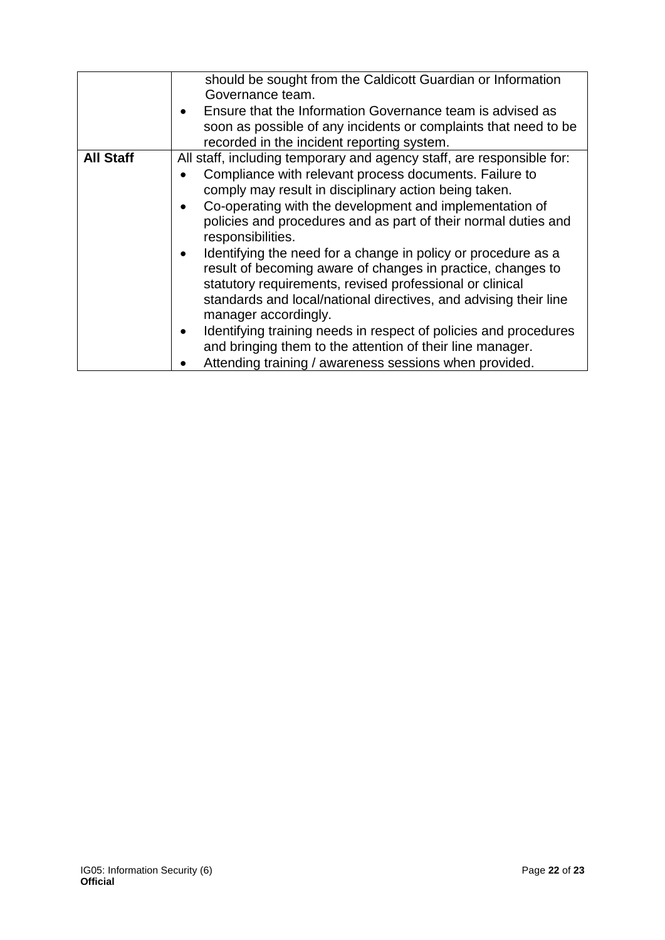|                  | should be sought from the Caldicott Guardian or Information<br>Governance team.                               |
|------------------|---------------------------------------------------------------------------------------------------------------|
|                  | Ensure that the Information Governance team is advised as                                                     |
|                  | soon as possible of any incidents or complaints that need to be<br>recorded in the incident reporting system. |
| <b>All Staff</b> | All staff, including temporary and agency staff, are responsible for:                                         |
|                  | Compliance with relevant process documents. Failure to                                                        |
|                  | comply may result in disciplinary action being taken.                                                         |
|                  | Co-operating with the development and implementation of<br>$\bullet$                                          |
|                  | policies and procedures and as part of their normal duties and<br>responsibilities.                           |
|                  | Identifying the need for a change in policy or procedure as a<br>$\bullet$                                    |
|                  | result of becoming aware of changes in practice, changes to                                                   |
|                  | statutory requirements, revised professional or clinical                                                      |
|                  | standards and local/national directives, and advising their line                                              |
|                  | manager accordingly.                                                                                          |
|                  | Identifying training needs in respect of policies and procedures<br>$\bullet$                                 |
|                  | and bringing them to the attention of their line manager.                                                     |
|                  | Attending training / awareness sessions when provided.                                                        |